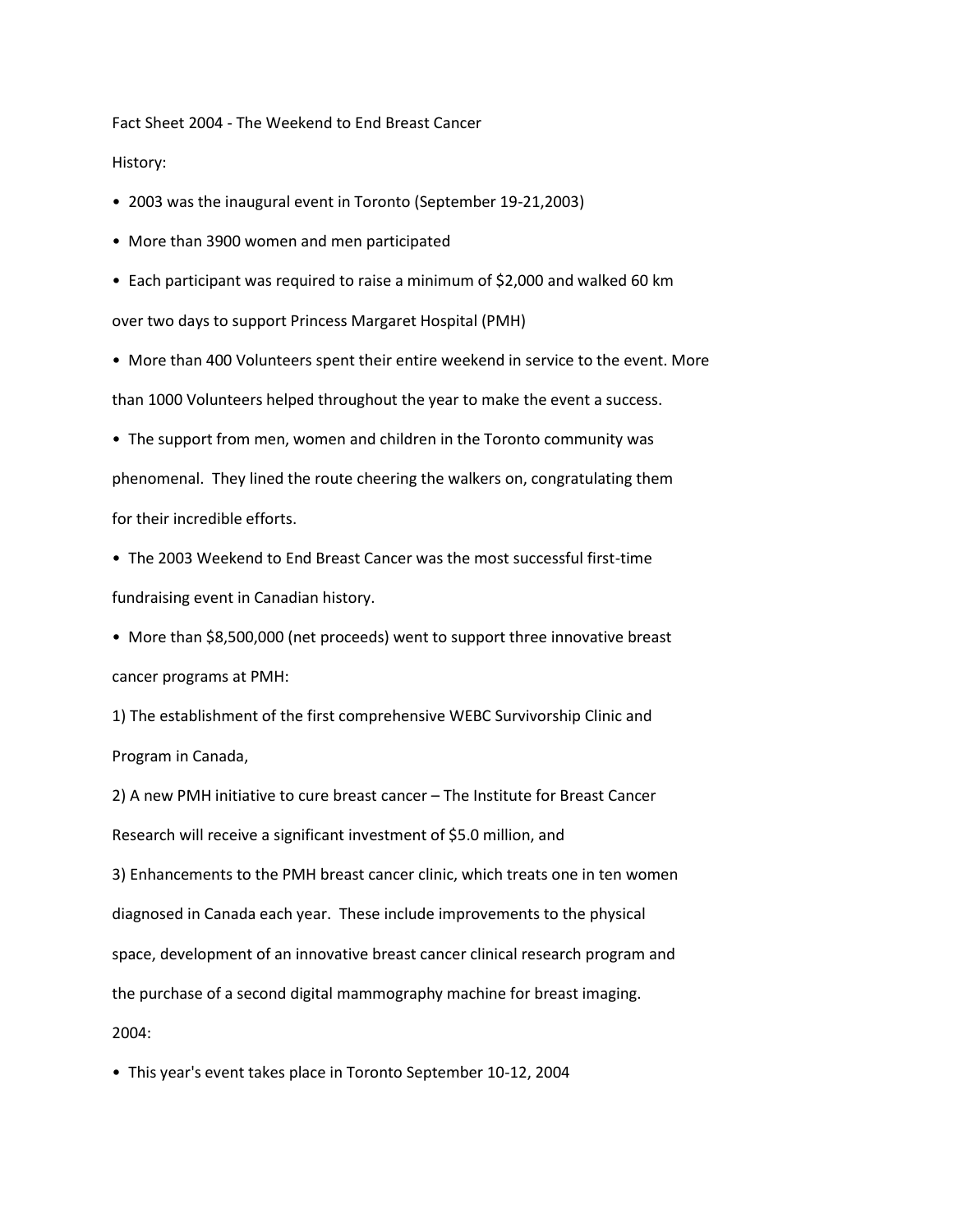Fact Sheet 2004 - The Weekend to End Breast Cancer

History:

• 2003 was the inaugural event in Toronto (September 19-21,2003)

• More than 3900 women and men participated

• Each participant was required to raise a minimum of \$2,000 and walked 60 km over two days to support Princess Margaret Hospital (PMH)

• More than 400 Volunteers spent their entire weekend in service to the event. More than 1000 Volunteers helped throughout the year to make the event a success.

• The support from men, women and children in the Toronto community was phenomenal. They lined the route cheering the walkers on, congratulating them for their incredible efforts.

• The 2003 Weekend to End Breast Cancer was the most successful first-time fundraising event in Canadian history.

• More than \$8,500,000 (net proceeds) went to support three innovative breast cancer programs at PMH:

1) The establishment of the first comprehensive WEBC Survivorship Clinic and Program in Canada,

2) A new PMH initiative to cure breast cancer – The Institute for Breast Cancer Research will receive a significant investment of \$5.0 million, and 3) Enhancements to the PMH breast cancer clinic, which treats one in ten women diagnosed in Canada each year. These include improvements to the physical space, development of an innovative breast cancer clinical research program and the purchase of a second digital mammography machine for breast imaging. 2004:

• This year's event takes place in Toronto September 10-12, 2004